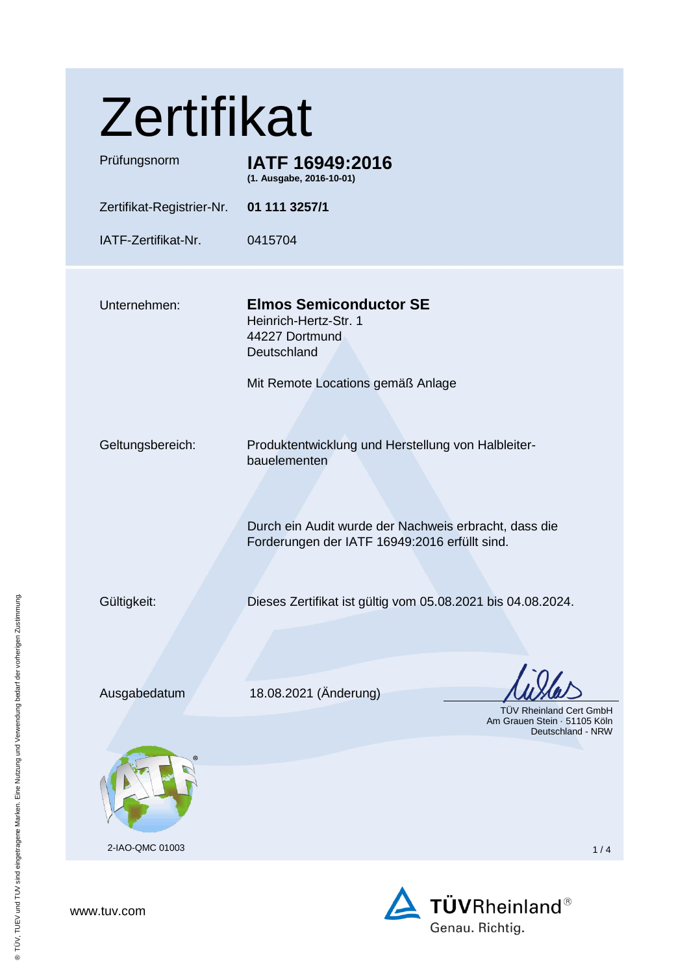| Zertifikat                       |                                                                                                                                                                                                                                                                                                              |  |
|----------------------------------|--------------------------------------------------------------------------------------------------------------------------------------------------------------------------------------------------------------------------------------------------------------------------------------------------------------|--|
| Prüfungsnorm                     | IATF 16949:2016<br>(1. Ausgabe, 2016-10-01)                                                                                                                                                                                                                                                                  |  |
| Zertifikat-Registrier-Nr.        | 01 111 3257/1                                                                                                                                                                                                                                                                                                |  |
| IATF-Zertifikat-Nr.              | 0415704                                                                                                                                                                                                                                                                                                      |  |
| Unternehmen:<br>Geltungsbereich: | <b>Elmos Semiconductor SE</b><br>Heinrich-Hertz-Str. 1<br>44227 Dortmund<br>Deutschland<br>Mit Remote Locations gemäß Anlage<br>Produktentwicklung und Herstellung von Halbleiter-<br>bauelementen<br>Durch ein Audit wurde der Nachweis erbracht, dass die<br>Forderungen der IATF 16949:2016 erfüllt sind. |  |
| Gültigkeit:                      | Dieses Zertifikat ist gültig vom 05.08.2021 bis 04.08.2024.                                                                                                                                                                                                                                                  |  |
| Ausgabedatum                     | 18.08.2021 (Änderung)<br><b>TÜV Rheinland Cert GmbH</b><br>Am Grauen Stein · 51105 Köln<br>Deutschland - NRW                                                                                                                                                                                                 |  |
|                                  |                                                                                                                                                                                                                                                                                                              |  |
| 2-IAO-QMC 01003                  | 1/4                                                                                                                                                                                                                                                                                                          |  |

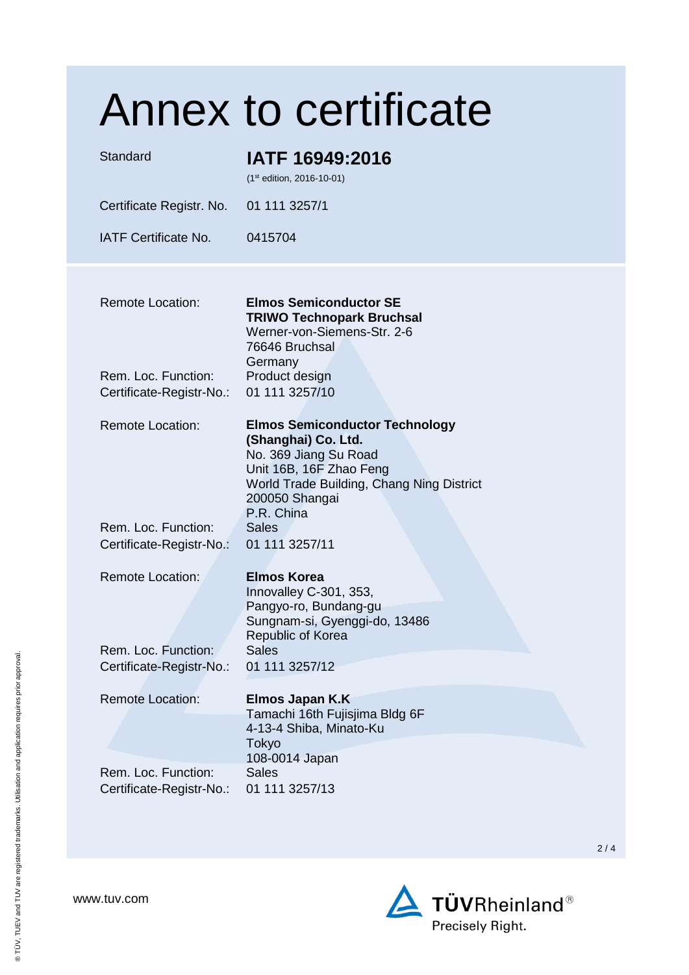| Standard                                        | <b>Annex to certificate</b><br>IATF 16949:2016<br>(1st edition, 2016-10-01)                                                                                                                   |
|-------------------------------------------------|-----------------------------------------------------------------------------------------------------------------------------------------------------------------------------------------------|
| Certificate Registr. No.                        | 01 111 3257/1                                                                                                                                                                                 |
| <b>IATF Certificate No.</b>                     | 0415704                                                                                                                                                                                       |
| <b>Remote Location:</b>                         | <b>Elmos Semiconductor SE</b><br><b>TRIWO Technopark Bruchsal</b><br>Werner-von-Siemens-Str. 2-6<br>76646 Bruchsal                                                                            |
| Rem. Loc. Function:<br>Certificate-Registr-No.: | Germany<br>Product design<br>01 111 3257/10                                                                                                                                                   |
| <b>Remote Location:</b>                         | <b>Elmos Semiconductor Technology</b><br>(Shanghai) Co. Ltd.<br>No. 369 Jiang Su Road<br>Unit 16B, 16F Zhao Feng<br>World Trade Building, Chang Ning District<br>200050 Shangai<br>P.R. China |
| Rem. Loc. Function:<br>Certificate-Registr-No.: | <b>Sales</b><br>01 111 3257/11                                                                                                                                                                |
| <b>Remote Location:</b>                         | <b>Elmos Korea</b><br>Innovalley C-301, 353,<br>Pangyo-ro, Bundang-gu<br>Sungnam-si, Gyenggi-do, 13486<br>Republic of Korea                                                                   |
| Rem. Loc. Function:<br>Certificate-Registr-No.: | <b>Sales</b><br>01 111 3257/12                                                                                                                                                                |
| <b>Remote Location:</b>                         | <b>Elmos Japan K.K</b><br>Tamachi 16th Fujisjima Bldg 6F<br>4-13-4 Shiba, Minato-Ku<br>Tokyo<br>108-0014 Japan                                                                                |
| Rem. Loc. Function:<br>Certificate-Registr-No.: | <b>Sales</b><br>01 111 3257/13                                                                                                                                                                |

2 / 4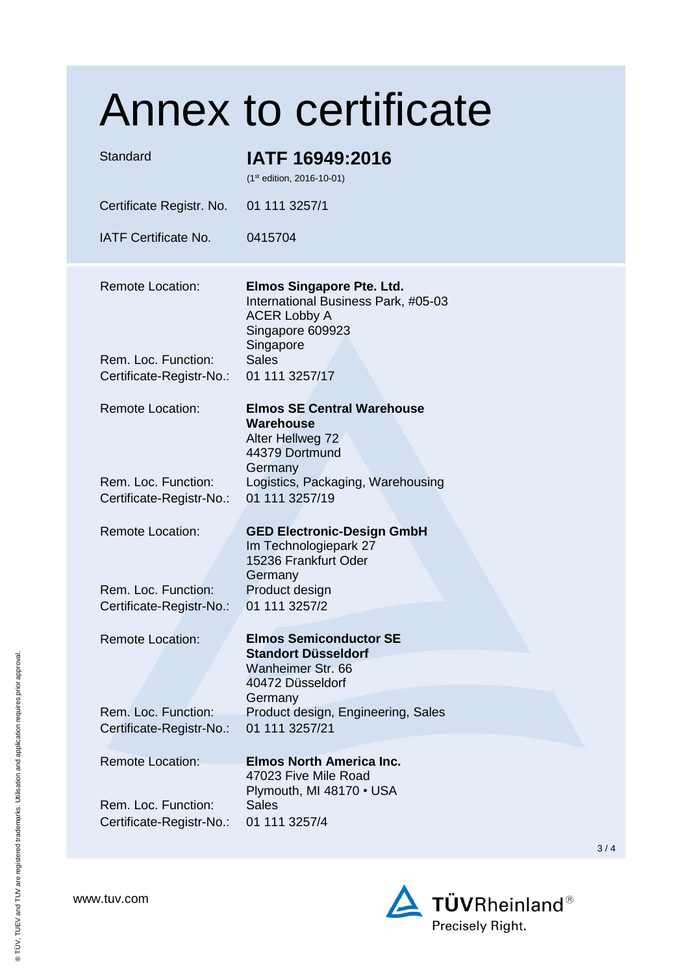|                                                 | Annex to certificate                                                                                                            |     |
|-------------------------------------------------|---------------------------------------------------------------------------------------------------------------------------------|-----|
| Standard                                        | IATF 16949:2016<br>(1st edition, 2016-10-01)                                                                                    |     |
| Certificate Registr. No.                        | 01 111 3257/1                                                                                                                   |     |
| <b>IATF Certificate No.</b>                     | 0415704                                                                                                                         |     |
| <b>Remote Location:</b>                         | <b>Elmos Singapore Pte. Ltd.</b><br>International Business Park, #05-03<br><b>ACER Lobby A</b><br>Singapore 609923<br>Singapore |     |
| Rem. Loc. Function:<br>Certificate-Registr-No.: | <b>Sales</b><br>01 111 3257/17                                                                                                  |     |
| <b>Remote Location:</b>                         | <b>Elmos SE Central Warehouse</b><br><b>Warehouse</b><br>Alter Hellweg 72<br>44379 Dortmund<br>Germany                          |     |
| Rem. Loc. Function:<br>Certificate-Registr-No.: | Logistics, Packaging, Warehousing<br>01 111 3257/19                                                                             |     |
| <b>Remote Location:</b>                         | <b>GED Electronic-Design GmbH</b><br>Im Technologiepark 27<br>15236 Frankfurt Oder<br>Germany                                   |     |
| Rem. Loc. Function:<br>Certificate-Registr-No.: | Product design<br>01 111 3257/2                                                                                                 |     |
| <b>Remote Location:</b>                         | <b>Elmos Semiconductor SE</b><br><b>Standort Düsseldorf</b><br>Wanheimer Str. 66<br>40472 Düsseldorf<br>Germany                 |     |
| Rem. Loc. Function:<br>Certificate-Registr-No.: | Product design, Engineering, Sales<br>01 111 3257/21                                                                            |     |
| <b>Remote Location:</b>                         | <b>Elmos North America Inc.</b><br>47023 Five Mile Road<br>Plymouth, MI 48170 • USA                                             |     |
| Rem. Loc. Function:<br>Certificate-Registr-No.: | <b>Sales</b><br>01 111 3257/4                                                                                                   | 3/4 |